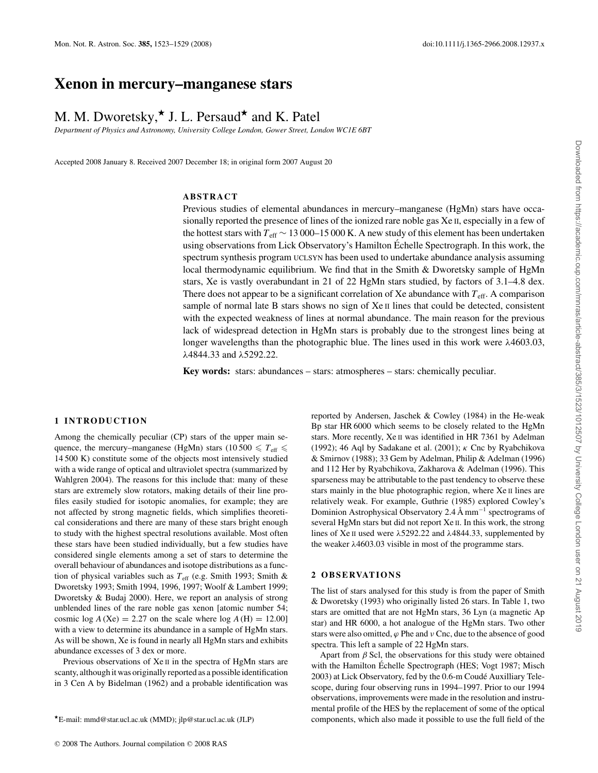## **Xenon in mercury–manganese stars**

# M. M. Dworetsky,<sup>\*</sup> J. L. Persaud<sup>\*</sup> and K. Patel

*Department of Physics and Astronomy, University College London, Gower Street, London WC1E 6BT*

Accepted 2008 January 8. Received 2007 December 18; in original form 2007 August 20

## **ABSTRACT**

Previous studies of elemental abundances in mercury–manganese (HgMn) stars have occasionally reported the presence of lines of the ionized rare noble gas Xe II, especially in a few of the hottest stars with *T*eff ∼ 13 000–15 000 K. A new study of this element has been undertaken using observations from Lick Observatory's Hamilton Echelle Spectrograph. In this work, the ´ spectrum synthesis program UCLSYN has been used to undertake abundance analysis assuming local thermodynamic equilibrium. We find that in the Smith & Dworetsky sample of HgMn stars, Xe is vastly overabundant in 21 of 22 HgMn stars studied, by factors of 3.1–4.8 dex. There does not appear to be a significant correlation of Xe abundance with  $T_{\text{eff}}$ . A comparison sample of normal late B stars shows no sign of  $Xe \text{II}$  lines that could be detected, consistent with the expected weakness of lines at normal abundance. The main reason for the previous lack of widespread detection in HgMn stars is probably due to the strongest lines being at longer wavelengths than the photographic blue. The lines used in this work were λ4603.03, λ4844.33 and λ5292.22.

**Key words:** stars: abundances – stars: atmospheres – stars: chemically peculiar.

#### **1 INTRODUCTION**

Among the chemically peculiar (CP) stars of the upper main sequence, the mercury–manganese (HgMn) stars (10500  $\leq T_{\text{eff}} \leq$ 14 500 K) constitute some of the objects most intensively studied with a wide range of optical and ultraviolet spectra (summarized by Wahlgren 2004). The reasons for this include that: many of these stars are extremely slow rotators, making details of their line profiles easily studied for isotopic anomalies, for example; they are not affected by strong magnetic fields, which simplifies theoretical considerations and there are many of these stars bright enough to study with the highest spectral resolutions available. Most often these stars have been studied individually, but a few studies have considered single elements among a set of stars to determine the overall behaviour of abundances and isotope distributions as a function of physical variables such as  $T_{\text{eff}}$  (e.g. Smith 1993; Smith & Dworetsky 1993; Smith 1994, 1996, 1997; Woolf & Lambert 1999; Dworetsky & Budaj 2000). Here, we report an analysis of strong unblended lines of the rare noble gas xenon [atomic number 54; cosmic log  $A$  (Xe) = 2.27 on the scale where log  $A$  (H) = 12.00] with a view to determine its abundance in a sample of HgMn stars. As will be shown, Xe is found in nearly all HgMn stars and exhibits abundance excesses of 3 dex or more.

Previous observations of Xe<sub>II</sub> in the spectra of HgMn stars are scanty, although it was originally reported as a possible identification in 3 Cen A by Bidelman (1962) and a probable identification was reported by Andersen, Jaschek & Cowley (1984) in the He-weak Bp star HR 6000 which seems to be closely related to the HgMn stars. More recently, Xe II was identified in HR 7361 by Adelman (1992); 46 Aql by Sadakane et al. (2001);  $\kappa$  Cnc by Ryabchikova & Smirnov (1988); 33 Gem by Adelman, Philip & Adelman (1996) and 112 Her by Ryabchikova, Zakharova & Adelman (1996). This sparseness may be attributable to the past tendency to observe these stars mainly in the blue photographic region, where Xe II lines are relatively weak. For example, Guthrie (1985) explored Cowley's Dominion Astrophysical Observatory 2.4 Å mm−<sup>1</sup> spectrograms of several HgMn stars but did not report Xe II. In this work, the strong lines of Xe II used were λ5292.22 and λ4844.33, supplemented by the weaker  $\lambda$ 4603.03 visible in most of the programme stars.

### **2 O B S E RVAT I O N S**

The list of stars analysed for this study is from the paper of Smith & Dworetsky (1993) who originally listed 26 stars. In Table 1, two stars are omitted that are not HgMn stars, 36 Lyn (a magnetic Ap star) and HR 6000, a hot analogue of the HgMn stars. Two other stars were also omitted,  $\varphi$  Phe and  $\nu$  Cnc, due to the absence of good spectra. This left a sample of 22 HgMn stars.

Apart from  $\beta$  Scl, the observations for this study were obtained with the Hamilton Échelle Spectrograph (HES; Vogt 1987; Misch 2003) at Lick Observatory, fed by the 0.6-m Coudé Auxilliary Telescope, during four observing runs in 1994–1997. Prior to our 1994 observations, improvements were made in the resolution and instrumental profile of the HES by the replacement of some of the optical components, which also made it possible to use the full field of the

<sup>-</sup>E-mail: mmd@star.ucl.ac.uk (MMD); jlp@star.ucl.ac.uk (JLP)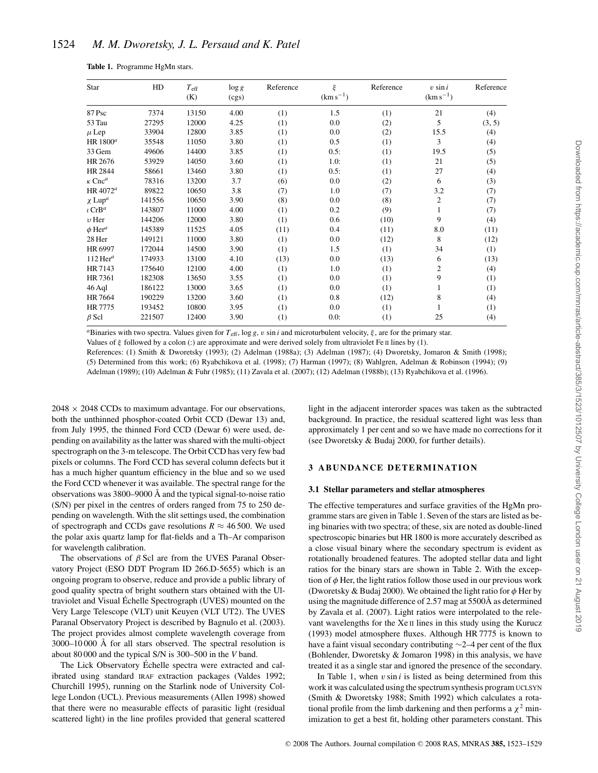| Star                      | HD     | $T_{\rm eff}$<br>(K) | $\log g$<br>(cgs) | Reference | ξ<br>$(km s^{-1})$ | Reference | $v \sin i$<br>$(km s^{-1})$ | Reference |
|---------------------------|--------|----------------------|-------------------|-----------|--------------------|-----------|-----------------------------|-----------|
| 87 Psc                    | 7374   | 13150                | 4.00              | (1)       | 1.5                | (1)       | 21                          | (4)       |
| 53 Tau                    | 27295  | 12000                | 4.25              | (1)       | 0.0                | (2)       | 5                           | (3, 5)    |
| $\mu$ Lep                 | 33904  | 12800                | 3.85              | (1)       | 0.0                | (2)       | 15.5                        | (4)       |
| HR 1800 $^a$              | 35548  | 11050                | 3.80              | (1)       | 0.5                | (1)       | 3                           | (4)       |
| 33 Gem                    | 49606  | 14400                | 3.85              | (1)       | 0.5:               | (1)       | 19.5                        | (5)       |
| HR 2676                   | 53929  | 14050                | 3.60              | (1)       | 1.0:               | (1)       | 21                          | (5)       |
| HR 2844                   | 58661  | 13460                | 3.80              | (1)       | 0.5:               | (1)       | 27                          | (4)       |
| $\kappa$ Cnc <sup>a</sup> | 78316  | 13200                | 3.7               | (6)       | 0.0                | (2)       | 6                           | (3)       |
| HR 4072 $^a$              | 89822  | 10650                | 3.8               | (7)       | 1.0                | (7)       | 3.2                         | (7)       |
| $\chi$ Lup <sup>a</sup>   | 141556 | 10650                | 3.90              | (8)       | 0.0                | (8)       | 2                           | (7)       |
| $\iota$ CrB <sup>a</sup>  | 143807 | 11000                | 4.00              | (1)       | 0.2                | (9)       |                             | (7)       |
| $v$ Her                   | 144206 | 12000                | 3.80              | (1)       | 0.6                | (10)      | 9                           | (4)       |
| $\phi$ Her <sup>a</sup>   | 145389 | 11525                | 4.05              | (11)      | 0.4                | (11)      | 8.0                         | (11)      |
| 28 Her                    | 149121 | 11000                | 3.80              | (1)       | 0.0                | (12)      | 8                           | (12)      |
| HR 6997                   | 172044 | 14500                | 3.90              | (1)       | 1.5                | (1)       | 34                          | (1)       |
| $112$ Her <sup>a</sup>    | 174933 | 13100                | 4.10              | (13)      | 0.0                | (13)      | 6                           | (13)      |
| HR 7143                   | 175640 | 12100                | 4.00              | (1)       | 1.0                | (1)       | 2                           | (4)       |
| HR 7361                   | 182308 | 13650                | 3.55              | (1)       | 0.0                | (1)       | 9                           | (1)       |
| 46 Aql                    | 186122 | 13000                | 3.65              | (1)       | 0.0                | (1)       |                             | (1)       |
| HR 7664                   | 190229 | 13200                | 3.60              | (1)       | 0.8                | (12)      | 8                           | (4)       |
| HR 7775                   | 193452 | 10800                | 3.95              | (1)       | 0.0                | (1)       |                             | (1)       |
| $\beta$ Scl               | 221507 | 12400                | 3.90              | (1)       | 0.0:               | (1)       | 25                          | (4)       |

**Table 1.** Programme HgMn stars.

*<sup>a</sup>*Binaries with two spectra. Values given for *T*eff, log *g*, v sin *i* and microturbulent velocity, ξ , are for the primary star. Values of  $\xi$  followed by a colon (:) are approximate and were derived solely from ultraviolet Fe II lines by (1).

References: (1) Smith & Dworetsky (1993); (2) Adelman (1988a); (3) Adelman (1987); (4) Dworetsky, Jomaron & Smith (1998); (5) Determined from this work; (6) Ryabchikova et al. (1998); (7) Harman (1997); (8) Wahlgren, Adelman & Robinson (1994); (9) Adelman (1989); (10) Adelman & Fuhr (1985); (11) Zavala et al. (2007); (12) Adelman (1988b); (13) Ryabchikova et al. (1996).

 $2048 \times 2048$  CCDs to maximum advantage. For our observations, both the unthinned phosphor-coated Orbit CCD (Dewar 13) and, from July 1995, the thinned Ford CCD (Dewar 6) were used, depending on availability as the latter was shared with the multi-object spectrograph on the 3-m telescope. The Orbit CCD has very few bad pixels or columns. The Ford CCD has several column defects but it has a much higher quantum efficiency in the blue and so we used the Ford CCD whenever it was available. The spectral range for the observations was 3800–9000 Å and the typical signal-to-noise ratio (S/N) per pixel in the centres of orders ranged from 75 to 250 depending on wavelength. With the slit settings used, the combination of spectrograph and CCDs gave resolutions  $R \approx 46500$ . We used the polar axis quartz lamp for flat-fields and a Th–Ar comparison for wavelength calibration.

The observations of  $\beta$  Scl are from the UVES Paranal Observatory Project (ESO DDT Program ID 266.D-5655) which is an ongoing program to observe, reduce and provide a public library of good quality spectra of bright southern stars obtained with the Ultraviolet and Visual Echelle Spectrograph (UVES) mounted on the ´ Very Large Telescope (VLT) unit Keuyen (VLT UT2). The UVES Paranal Observatory Project is described by Bagnulo et al. (2003). The project provides almost complete wavelength coverage from 3000–10 000 Å for all stars observed. The spectral resolution is about 80 000 and the typical S/N is 300–500 in the *V* band.

The Lick Observatory Echelle spectra were extracted and cal- ´ ibrated using standard IRAF extraction packages (Valdes 1992; Churchill 1995), running on the Starlink node of University College London (UCL). Previous measurements (Allen 1998) showed that there were no measurable effects of parasitic light (residual scattered light) in the line profiles provided that general scattered light in the adjacent interorder spaces was taken as the subtracted background. In practice, the residual scattered light was less than approximately 1 per cent and so we have made no corrections for it (see Dworetsky & Budaj 2000, for further details).

## **3 ABUNDANCE DETERMINATION**

#### **3.1 Stellar parameters and stellar atmospheres**

The effective temperatures and surface gravities of the HgMn programme stars are given in Table 1. Seven of the stars are listed as being binaries with two spectra; of these, six are noted as double-lined spectroscopic binaries but HR 1800 is more accurately described as a close visual binary where the secondary spectrum is evident as rotationally broadened features. The adopted stellar data and light ratios for the binary stars are shown in Table 2. With the exception of  $\phi$  Her, the light ratios follow those used in our previous work (Dworetsky & Budaj 2000). We obtained the light ratio for  $\phi$  Her by using the magnitude difference of 2.57 mag at 5500Å as determined by Zavala et al. (2007). Light ratios were interpolated to the relevant wavelengths for the Xe II lines in this study using the Kurucz (1993) model atmosphere fluxes. Although HR 7775 is known to have a faint visual secondary contributing ∼2–4 per cent of the flux (Bohlender, Dworetsky & Jomaron 1998) in this analysis, we have treated it as a single star and ignored the presence of the secondary.

In Table 1, when  $v \sin i$  is listed as being determined from this work it was calculated using the spectrum synthesis program UCLSYN (Smith & Dworetsky 1988; Smith 1992) which calculates a rotational profile from the limb darkening and then performs a  $\chi^2$  minimization to get a best fit, holding other parameters constant. This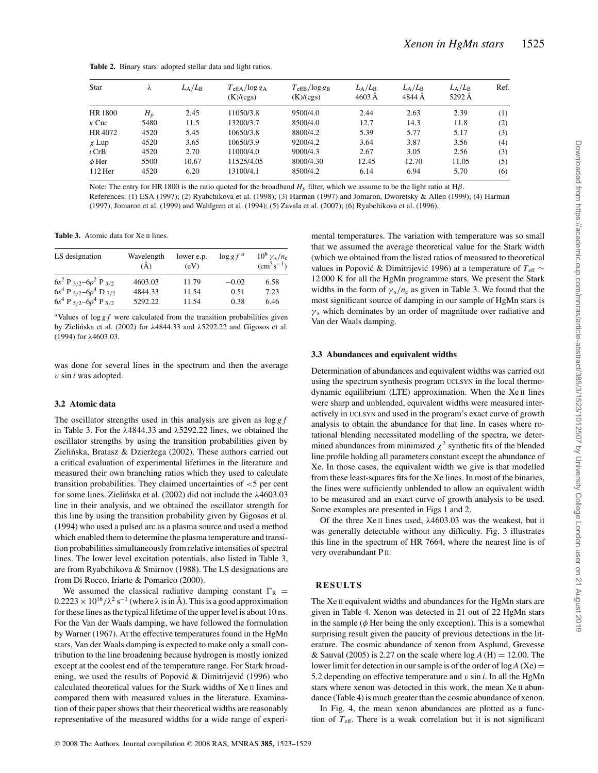**Table 2.** Binary stars: adopted stellar data and light ratios.

| Star         | λ     | $L_{\rm A}/L_{\rm B}$ | $T_{\text{effA}}$ /log g <sub>A</sub><br>(K)/(cgs) | $T_{\text{effB}}$ /log g <sub>B</sub><br>(K)/(cgs) | $L_{\rm A}/L_{\rm B}$<br>$4603 \text{ Å}$ | $L_{\rm A}/L_{\rm B}$<br>4844 Å | $L_{\rm A}/L_{\rm B}$<br>5292 Å | Ref. |
|--------------|-------|-----------------------|----------------------------------------------------|----------------------------------------------------|-------------------------------------------|---------------------------------|---------------------------------|------|
| HR 1800      | $H_p$ | 2.45                  | 11050/3.8                                          | 9500/4.0                                           | 2.44                                      | 2.63                            | 2.39                            | (1)  |
| $\kappa$ Cnc | 5480  | 11.5                  | 13200/3.7                                          | 8500/4.0                                           | 12.7                                      | 14.3                            | 11.8                            | (2)  |
| HR 4072      | 4520  | 5.45                  | 10650/3.8                                          | 8800/4.2                                           | 5.39                                      | 5.77                            | 5.17                            | (3)  |
| $\chi$ Lup   | 4520  | 3.65                  | 10650/3.9                                          | 9200/4.2                                           | 3.64                                      | 3.87                            | 3.56                            | (4)  |
| $\iota$ CrB  | 4520  | 2.70                  | 11000/4.0                                          | 9000/4.3                                           | 2.67                                      | 3.05                            | 2.56                            | (3)  |
| $\phi$ Her   | 5500  | 10.67                 | 11525/4.05                                         | 8000/4.30                                          | 12.45                                     | 12.70                           | 11.05                           | (5)  |
| $112$ Her    | 4520  | 6.20                  | 13100/4.1                                          | 8500/4.2                                           | 6.14                                      | 6.94                            | 5.70                            | (6)  |

Note: The entry for HR 1800 is the ratio quoted for the broadband  $H_p$  filter, which we assume to be the light ratio at H $\beta$ .

References: (1) ESA (1997); (2) Ryabchikova et al. (1998); (3) Harman (1997) and Jomaron, Dworetsky & Allen (1999); (4) Harman (1997), Jomaron et al. (1999) and Wahlgren et al. (1994); (5) Zavala et al. (2007); (6) Ryabchikova et al. (1996).

Table 3. Atomic data for Xe II lines.

| LS designation                                  | Wavelength<br>$\rm(\AA)$ | lower e.p.<br>(eV) | $\log gf^a$ | $10^6$ $\gamma_s/n_e$<br>$\rm (cm^3s^{-1})$ |
|-------------------------------------------------|--------------------------|--------------------|-------------|---------------------------------------------|
| $6s^2$ P $_{3/2}$ - $6p^2$ P $_{3/2}$           | 4603.03                  | 11.79              | $-0.02$     | 6.58                                        |
| $6s4$ P <sub>5/2</sub> - $6p4$ D <sub>7/2</sub> | 4844.33                  | 11.54              | 0.51        | 7.23                                        |
| $6s4$ P $5/2$ -6p <sup>4</sup> P $5/2$          | 5292.22                  | 11.54              | 0.38        | 6.46                                        |

 $a$ Values of log  $gf$  were calculated from the transition probabilities given by Zielińska et al. (2002) for  $\lambda$ 4844.33 and  $\lambda$ 5292.22 and Gigosos et al. (1994) for λ4603.03.

was done for several lines in the spectrum and then the average v sin *i* was adopted.

#### **3.2 Atomic data**

The oscillator strengths used in this analysis are given as log *g f* in Table 3. For the λ4844.33 and λ5292.22 lines, we obtained the oscillator strengths by using the transition probabilities given by Zielińska, Bratasz & Dzierżega (2002). These authors carried out a critical evaluation of experimental lifetimes in the literature and measured their own branching ratios which they used to calculate transition probabilities. They claimed uncertainties of <5 per cent for some lines. Zielińska et al. (2002) did not include the  $\lambda$ 4603.03 line in their analysis, and we obtained the oscillator strength for this line by using the transition probability given by Gigosos et al. (1994) who used a pulsed arc as a plasma source and used a method which enabled them to determine the plasma temperature and transition probabilities simultaneously from relative intensities of spectral lines. The lower level excitation potentials, also listed in Table 3, are from Ryabchikova & Smirnov (1988). The LS designations are from Di Rocco, Iriarte & Pomarico (2000).

We assumed the classical radiative damping constant  $\Gamma_R$  =  $0.2223 \times 10^{16}/\lambda^2$  s<sup>-1</sup> (where  $\lambda$  is in Å). This is a good approximation for these lines as the typical lifetime of the upper level is about 10 ns. For the Van der Waals damping, we have followed the formulation by Warner (1967). At the effective temperatures found in the HgMn stars, Van der Waals damping is expected to make only a small contribution to the line broadening because hydrogen is mostly ionized except at the coolest end of the temperature range. For Stark broadening, we used the results of Popović  $&$  Dimitrijević (1996) who calculated theoretical values for the Stark widths of Xe II lines and compared them with measured values in the literature. Examination of their paper shows that their theoretical widths are reasonably representative of the measured widths for a wide range of experimental temperatures. The variation with temperature was so small that we assumed the average theoretical value for the Stark width (which we obtained from the listed ratios of measured to theoretical values in Popović & Dimitrijević 1996) at a temperature of *T*<sub>eff</sub> ∼ 12 000 K for all the HgMn programme stars. We present the Stark widths in the form of  $\gamma_s/n_e$  as given in Table 3. We found that the most significant source of damping in our sample of HgMn stars is  $\gamma_s$  which dominates by an order of magnitude over radiative and Van der Waals damping.

## **3.3 Abundances and equivalent widths**

Determination of abundances and equivalent widths was carried out using the spectrum synthesis program UCLSYN in the local thermodynamic equilibrium (LTE) approximation. When the Xe II lines were sharp and unblended, equivalent widths were measured interactively in UCLSYN and used in the program's exact curve of growth analysis to obtain the abundance for that line. In cases where rotational blending necessitated modelling of the spectra, we determined abundances from minimized  $\chi^2$  synthetic fits of the blended line profile holding all parameters constant except the abundance of Xe. In those cases, the equivalent width we give is that modelled from these least-squares fits for the Xe lines. In most of the binaries, the lines were sufficiently unblended to allow an equivalent width to be measured and an exact curve of growth analysis to be used. Some examples are presented in Figs 1 and 2.

Of the three Xe<sub>II</sub> lines used,  $\lambda$ 4603.03 was the weakest, but it was generally detectable without any difficulty. Fig. 3 illustrates this line in the spectrum of HR 7664, where the nearest line is of very overabundant P II.

## **RESULTS**

The Xe II equivalent widths and abundances for the HgMn stars are given in Table 4. Xenon was detected in 21 out of 22 HgMn stars in the sample ( $\phi$  Her being the only exception). This is a somewhat surprising result given the paucity of previous detections in the literature. The cosmic abundance of xenon from Asplund, Grevesse & Sauval (2005) is 2.27 on the scale where log *A* (H) = 12.00. The lower limit for detection in our sample is of the order of  $log A$  (Xe) = 5.2 depending on effective temperature and v sin *i*. In all the HgMn stars where xenon was detected in this work, the mean Xe II abundance (Table 4) is much greater than the cosmic abundance of xenon.

In Fig. 4, the mean xenon abundances are plotted as a function of  $T_{\text{eff}}$ . There is a weak correlation but it is not significant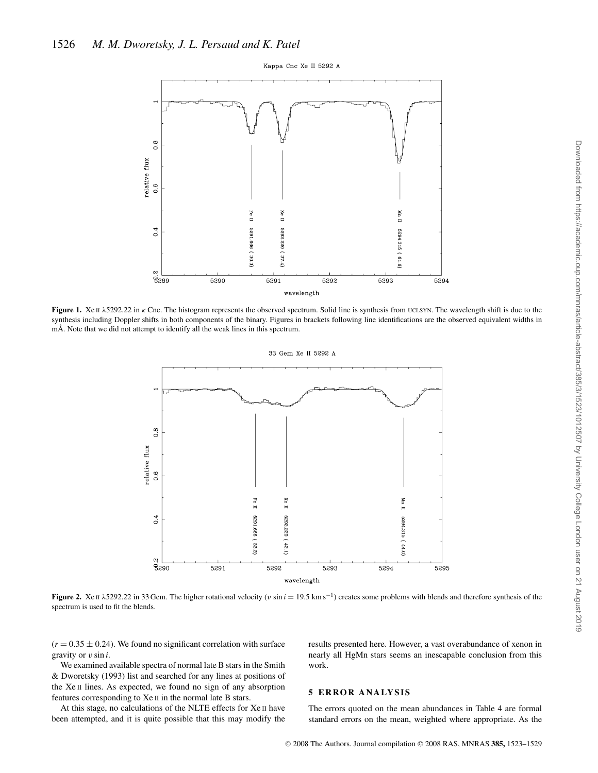Kappa Cnc Xe II 5292 A



Figure 1. Xe Πλ5292.22 in κ Cnc. The histogram represents the observed spectrum. Solid line is synthesis from UCLSYN. The wavelength shift is due to the synthesis including Doppler shifts in both components of the binary. Figures in brackets following line identifications are the observed equivalent widths in mÅ. Note that we did not attempt to identify all the weak lines in this spectrum.



**Figure 2.** Xe II  $\lambda$ 5292.22 in 33 Gem. The higher rotational velocity (v sin  $i = 19.5$  km s<sup>-1</sup>) creates some problems with blends and therefore synthesis of the spectrum is used to fit the blends.

 $(r = 0.35 \pm 0.24)$ . We found no significant correlation with surface gravity or v sin *i*.

We examined available spectra of normal late B stars in the Smith & Dworetsky (1993) list and searched for any lines at positions of the Xe II lines. As expected, we found no sign of any absorption features corresponding to Xe II in the normal late B stars.

At this stage, no calculations of the NLTE effects for Xe II have been attempted, and it is quite possible that this may modify the results presented here. However, a vast overabundance of xenon in nearly all HgMn stars seems an inescapable conclusion from this work.

## **5 ERROR ANALYSIS**

The errors quoted on the mean abundances in Table 4 are formal standard errors on the mean, weighted where appropriate. As the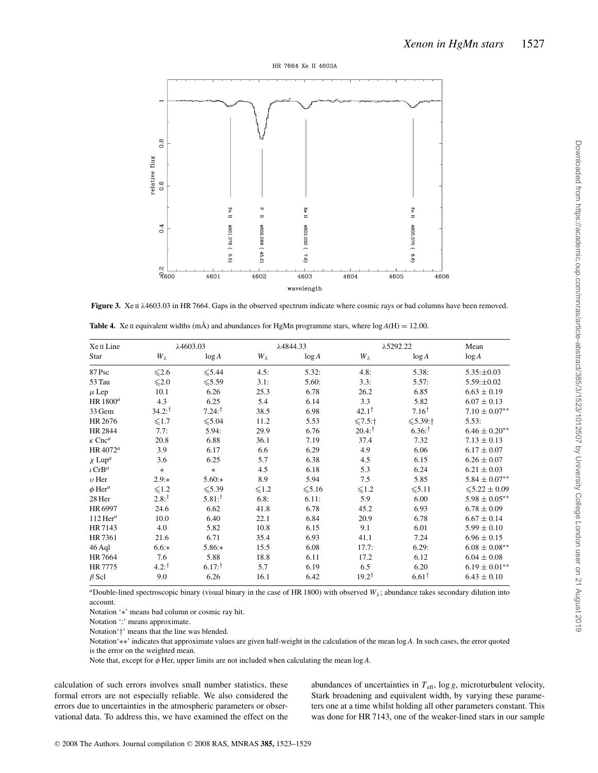



**Figure 3.** Xe II λ4603.03 in HR 7664. Gaps in the observed spectrum indicate where cosmic rays or bad columns have been removed.

| Xe II Line                | $\lambda$ 4603.03 |                      | λ4844.33      |             | λ5292.22          |                  | Mean                 |  |
|---------------------------|-------------------|----------------------|---------------|-------------|-------------------|------------------|----------------------|--|
| Star                      | $W_{\lambda}$     | log A                | $W_{\lambda}$ | log A       | $W_{\lambda}$     | log A            | log A                |  |
| 87 Psc                    | $\leq 2.6$        | $\leq 5.44$          | 4.5:          | 5.32:       | 4.8:              | 5.38:            | $5.35: \pm 0.03$     |  |
| 53 Tau                    | $\leq 2.0$        | $\leq 5.59$          | 3.1:          | 5.60:       | 3.3:              | 5.57:            | $5.59: \pm 0.02$     |  |
| $\mu$ Lep                 | 10.1              | 6.26                 | 25.3          | 6.78        | 26.2              | 6.85             | $6.63 \pm 0.19$      |  |
| HR $1800^a$               | 4.3               | 6.25                 | 5.4           | 6.14        | 3.3               | 5.82             | $6.07 \pm 0.13$      |  |
| 33 Gem                    | $34.2:^{\dagger}$ | $7.24:^{\dagger}$    | 38.5          | 6.98        | $42.1^{\dagger}$  | $7.16^{\dagger}$ | $7.10 \pm 0.07^{**}$ |  |
| HR 2676                   | $\leqslant$ 1.7   | $\leq 5.04$          | 11.2          | 5.53        | 5:1               | $5.39:$ †        | 5.53:                |  |
| HR 2844                   | 7.7:              | 5.94:                | 29.9          | 6.76        | $20.4:^{\dagger}$ | $6.36^{+}$       | $6.46 \pm 0.20**$    |  |
| $\kappa$ Cnc <sup>a</sup> | 20.8              | 6.88                 | 36.1          | 7.19        | 37.4              | 7.32             | $7.13 \pm 0.13$      |  |
| HR $4072^a$               | 3.9               | 6.17                 | 6.6           | 6.29        | 4.9               | 6.06             | $6.17 \pm 0.07$      |  |
| $\chi$ Lup <sup>a</sup>   | 3.6               | 6.25                 | 5.7           | 6.38        | 4.5               | 6.15             | $6.26 \pm 0.07$      |  |
| $\iota$ CrB <sup>a</sup>  | $\ast$            | $\ast$               | 4.5           | 6.18        | 5.3               | 6.24             | $6.21 \pm 0.03$      |  |
| $v$ Her                   | $2.9:*$           | $5.60**$             | 8.9           | 5.94        | 7.5               | 5.85             | $5.84 \pm 0.07^{**}$ |  |
| $\phi$ Her <sup>a</sup>   | $\leq 1.2$        | $\leq 5.39$          | $\leq 1.2$    | $\leq 5.16$ | $\leqslant$ 1.2   | $≤5.11$          | $\leq 5.22 \pm 0.09$ |  |
| 28 Her                    | $2.8:^{\dagger}$  | $5.81:$ <sup>†</sup> | 6.8:          | 6.11:       | 5.9               | 6.00             | $5.98 \pm 0.05***$   |  |
| HR 6997                   | 24.6              | 6.62                 | 41.8          | 6.78        | 45.2              | 6.93             | $6.78 \pm 0.09$      |  |
| $112$ Her <sup>a</sup>    | 10.0              | 6.40                 | 22.1          | 6.84        | 20.9              | 6.78             | $6.67 \pm 0.14$      |  |
| HR 7143                   | 4.0               | 5.82                 | 10.8          | 6.15        | 9.1               | 6.01             | $5.99 \pm 0.10$      |  |
| HR 7361                   | 21.6              | 6.71                 | 35.4          | 6.93        | 41.1              | 7.24             | $6.96 \pm 0.15$      |  |
| 46 Aql                    | $6.6**$           | $5.86**$             | 15.5          | 6.08        | 17.7:             | 6.29:            | $6.08 \pm 0.08***$   |  |
| HR 7664                   | 7.6               | 5.88                 | 18.8          | 6.11        | 17.2              | 6.12             | $6.04 \pm 0.08$      |  |
| HR 7775                   | $4.2:^{\dagger}$  | $6.17:^{\dagger}$    | 5.7           | 6.19        | 6.5               | 6.20             | $6.19 \pm 0.01***$   |  |
| $\beta$ Scl               | 9.0               | 6.26                 | 16.1          | 6.42        | $19.2^{\dagger}$  | $6.61^{\dagger}$ | $6.43 \pm 0.10$      |  |

**Table 4.** Xe II equivalent widths (mÅ) and abundances for HgMn programme stars, where  $log A(H) = 12.00$ .

*a*Double-lined spectroscopic binary (visual binary in the case of HR 1800) with observed  $W_{\lambda}$ ; abundance takes secondary dilution into account.

Notation '∗' means bad column or cosmic ray hit.

Notation ':' means approximate.

Notation'†' means that the line was blended.

Notation'∗∗' indicates that approximate values are given half-weight in the calculation of the mean log *A*. In such cases, the error quoted is the error on the weighted mean.

Note that, except for φ Her, upper limits are not included when calculating the mean log *A*.

calculation of such errors involves small number statistics, these formal errors are not especially reliable. We also considered the errors due to uncertainties in the atmospheric parameters or observational data. To address this, we have examined the effect on the abundances of uncertainties in  $T_{\text{eff}}$ , log *g*, microturbulent velocity, Stark broadening and equivalent width, by varying these parameters one at a time whilst holding all other parameters constant. This was done for HR 7143, one of the weaker-lined stars in our sample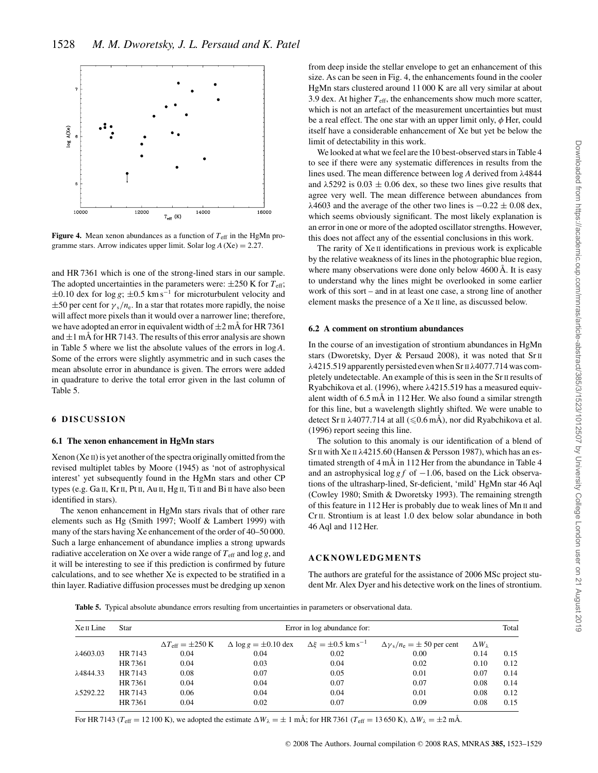

**Figure 4.** Mean xenon abundances as a function of  $T_{\text{eff}}$  in the HgMn programme stars. Arrow indicates upper limit. Solar  $log A (Xe) = 2.27$ .

and HR 7361 which is one of the strong-lined stars in our sample. The adopted uncertainties in the parameters were:  $\pm 250$  K for  $T_{\text{eff}}$ ;  $\pm 0.10$  dex for log *g*;  $\pm 0.5$  km s<sup>-1</sup> for microturbulent velocity and  $\pm$ 50 per cent for  $\gamma_s/n_e$ . In a star that rotates more rapidly, the noise will affect more pixels than it would over a narrower line; therefore, we have adopted an error in equivalent width of  $\pm 2$  mÅ for HR 7361 and  $\pm 1$  mÅ for HR 7143. The results of this error analysis are shown in Table 5 where we list the absolute values of the errors in log *A*. Some of the errors were slightly asymmetric and in such cases the mean absolute error in abundance is given. The errors were added in quadrature to derive the total error given in the last column of Table 5.

#### **6 DISCUSSION**

#### **6.1 The xenon enhancement in HgMn stars**

Xenon (Xe II) is yet another of the spectra originally omitted from the revised multiplet tables by Moore (1945) as 'not of astrophysical interest' yet subsequently found in the HgMn stars and other CP types (e.g. Ga II, Kr II, Pt II, Au II, Hg II, Ti II and Bi II have also been identified in stars).

The xenon enhancement in HgMn stars rivals that of other rare elements such as Hg (Smith 1997; Woolf & Lambert 1999) with many of the stars having Xe enhancement of the order of 40–50 000. Such a large enhancement of abundance implies a strong upwards radiative acceleration on Xe over a wide range of  $T_{\text{eff}}$  and log *g*, and it will be interesting to see if this prediction is confirmed by future calculations, and to see whether Xe is expected to be stratified in a thin layer. Radiative diffusion processes must be dredging up xenon from deep inside the stellar envelope to get an enhancement of this size. As can be seen in Fig. 4, the enhancements found in the cooler HgMn stars clustered around 11 000 K are all very similar at about 3.9 dex. At higher  $T_{\text{eff}}$ , the enhancements show much more scatter, which is not an artefact of the measurement uncertainties but must be a real effect. The one star with an upper limit only,  $\phi$  Her, could itself have a considerable enhancement of Xe but yet be below the limit of detectability in this work.

We looked at what we feel are the 10 best-observed stars in Table 4 to see if there were any systematic differences in results from the lines used. The mean difference between log *A* derived from λ4844 and  $\lambda$ 5292 is 0.03  $\pm$  0.06 dex, so these two lines give results that agree very well. The mean difference between abundances from  $\lambda$ 4603 and the average of the other two lines is  $-0.22 \pm 0.08$  dex, which seems obviously significant. The most likely explanation is an error in one or more of the adopted oscillator strengths. However, this does not affect any of the essential conclusions in this work.

The rarity of Xe II identifications in previous work is explicable by the relative weakness of its lines in the photographic blue region, where many observations were done only below 4600 Å. It is easy to understand why the lines might be overlooked in some earlier work of this sort – and in at least one case, a strong line of another element masks the presence of a Xe II line, as discussed below.

#### **6.2 A comment on strontium abundances**

In the course of an investigation of strontium abundances in HgMn stars (Dworetsky, Dyer & Persaud 2008), it was noted that SrII λ4215.519 apparently persisted even when Sr II λ4077.714 was completely undetectable. An example of this is seen in the Sr<sub>II</sub> results of Ryabchikova et al. (1996), where λ4215.519 has a measured equivalent width of 6.5 mÅ in 112 Her. We also found a similar strength for this line, but a wavelength slightly shifted. We were unable to detect Sr π λ4077.714 at all (≤0.6 mÅ), nor did Ryabchikova et al. (1996) report seeing this line.

The solution to this anomaly is our identification of a blend of Sr II with Xe II λ4215.60 (Hansen & Persson 1987), which has an estimated strength of 4 mÅ in 112 Her from the abundance in Table 4 and an astrophysical log *g f* of −1.06, based on the Lick observations of the ultrasharp-lined, Sr-deficient, 'mild' HgMn star 46 Aql (Cowley 1980; Smith & Dworetsky 1993). The remaining strength of this feature in 112 Her is probably due to weak lines of Mn II and Cr II. Strontium is at least 1.0 dex below solar abundance in both 46 Aql and 112 Her.

#### **ACKNOWLEDGMENTS**

The authors are grateful for the assistance of 2006 MSc project student Mr. Alex Dyer and his detective work on the lines of strontium.

**Table 5.** Typical absolute abundance errors resulting from uncertainties in parameters or observational data.

| $Xe \Pi$ Line     | Star    | Error in log abundance for:              |                                |                                           |                                         |                      |      |
|-------------------|---------|------------------------------------------|--------------------------------|-------------------------------------------|-----------------------------------------|----------------------|------|
|                   |         | $\Delta T_{\rm eff} = \pm 250 \text{ K}$ | $\Delta \log g = \pm 0.10$ dex | $\Delta \xi = \pm 0.5$ km s <sup>-1</sup> | $\Delta \gamma_s/n_e = \pm 50$ per cent | $\Delta W_{\lambda}$ |      |
| $\lambda$ 4603.03 | HR 7143 | 0.04                                     | 0.04                           | 0.02                                      | 0.00                                    | 0.14                 | 0.15 |
|                   | HR 7361 | 0.04                                     | 0.03                           | 0.04                                      | 0.02                                    | 0.10                 | 0.12 |
| λ4844.33          | HR 7143 | 0.08                                     | 0.07                           | 0.05                                      | 0.01                                    | 0.07                 | 0.14 |
|                   | HR 7361 | 0.04                                     | 0.04                           | 0.07                                      | 0.07                                    | 0.08                 | 0.14 |
| λ5292.22          | HR 7143 | 0.06                                     | 0.04                           | 0.04                                      | 0.01                                    | 0.08                 | 0.12 |
|                   | HR 7361 | 0.04                                     | 0.02                           | 0.07                                      | 0.09                                    | 0.08                 | 0.15 |

For HR 7143 ( $T_{\text{eff}} = 12100 \text{ K}$ ), we adopted the estimate  $\Delta W_{\lambda} = \pm 1 \text{ mA}$ ; for HR 7361 ( $T_{\text{eff}} = 13650 \text{ K}$ ),  $\Delta W_{\lambda} = \pm 2 \text{ mA}$ .